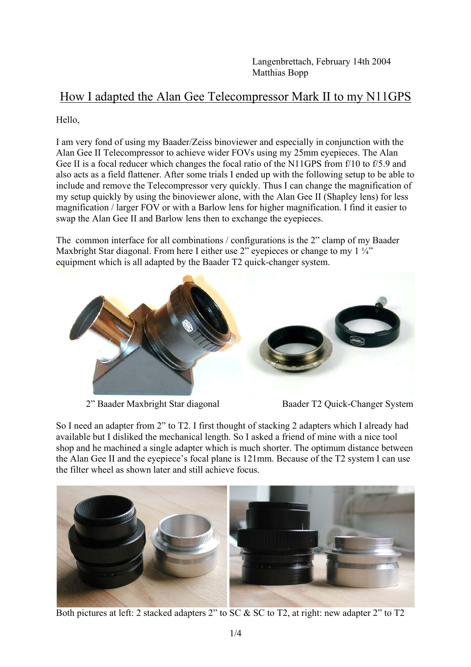Langenbrettach, February 14th 2004 Matthias Bopp

## How I adapted the Alan Gee Telecompressor Mark II to my N11GPS

Hello,

I am very fond of using my Baader/Zeiss binoviewer and especially in conjunction with the Alan Gee II Telecompressor to achieve wider FOVs using my 25mm eyepieces. The Alan Gee II is a focal reducer which changes the focal ratio of the N11GPS from f/10 to f/5.9 and also acts as a field flattener. After some trials I ended up with the following setup to be able to include and remove the Telecompressor very quickly. Thus I can change the magnification of my setup quickly by using the binoviewer alone, with the Alan Gee II (Shapley lens) for less magnification / larger FOV or with a Barlow lens for higher magnification. I find it easier to swap the Alan Gee II and Barlow lens then to exchange the eyepieces.

The common interface for all combinations / configurations is the 2" clamp of my Baader Maxbright Star diagonal. From here I either use 2" eyepieces or change to my  $1\frac{1}{4}$ " equipment which is all adapted by the Baader T2 quick-changer system.



2" Baader Maxbright Star diagonal Baader T2 Quick-Changer System

So I need an adapter from 2" to T2. I first thought of stacking 2 adapters which I already had available but I disliked the mechanical length. So I asked a friend of mine with a nice tool shop and he machined a single adapter which is much shorter. The optimum distance between the Alan Gee II and the eyepiece's focal plane is 121mm. Because of the T2 system I can use the filter wheel as shown later and still achieve focus.



Both pictures at left: 2 stacked adapters 2" to SC & SC to T2, at right: new adapter 2" to T2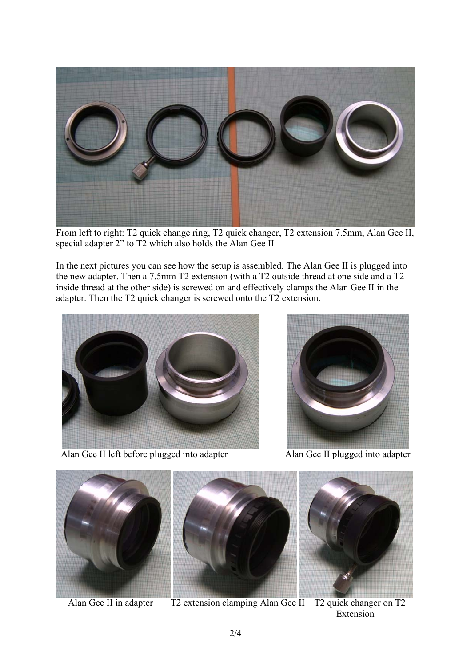

From left to right: T2 quick change ring, T2 quick changer, T2 extension 7.5mm, Alan Gee II, special adapter 2" to T2 which also holds the Alan Gee II

In the next pictures you can see how the setup is assembled. The Alan Gee II is plugged into the new adapter. Then a 7.5mm T2 extension (with a T2 outside thread at one side and a T2 inside thread at the other side) is screwed on and effectively clamps the Alan Gee II in the adapter. Then the T2 quick changer is screwed onto the T2 extension.



Alan Gee II left before plugged into adapter Alan Gee II plugged into adapter









Alan Gee II in adapter T2 extension clamping Alan Gee II T2 quick changer on T2 Extension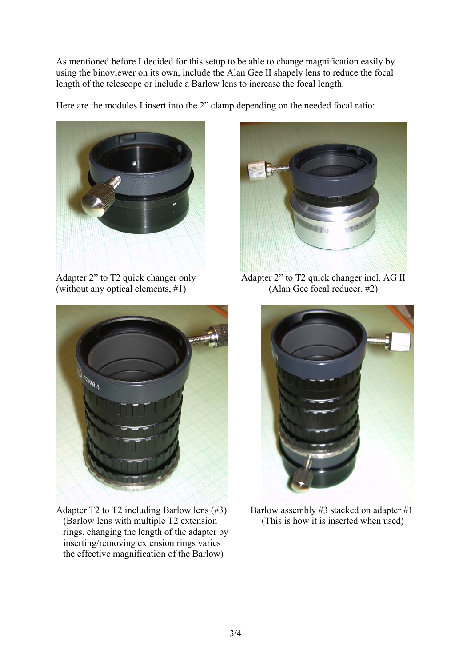As mentioned before I decided for this setup to be able to change magnification easily by using the binoviewer on its own, include the Alan Gee II shapely lens to reduce the focal length of the telescope or include a Barlow lens to increase the focal length.

Here are the modules I insert into the 2" clamp depending on the needed focal ratio:



(without any optical elements,  $#1$ ) (Alan Gee focal reducer,  $#2$ )



Adapter 2" to T2 quick changer only Adapter 2" to T2 quick changer incl. AG II



Adapter T2 to T2 including Barlow lens  $(\#3)$  Barlow assembly  $\#3$  stacked on adapter  $\#1$  (Barlow lens with multiple T2 extension (This is how it is inserted when used) rings, changing the length of the adapter by inserting/removing extension rings varies the effective magnification of the Barlow)